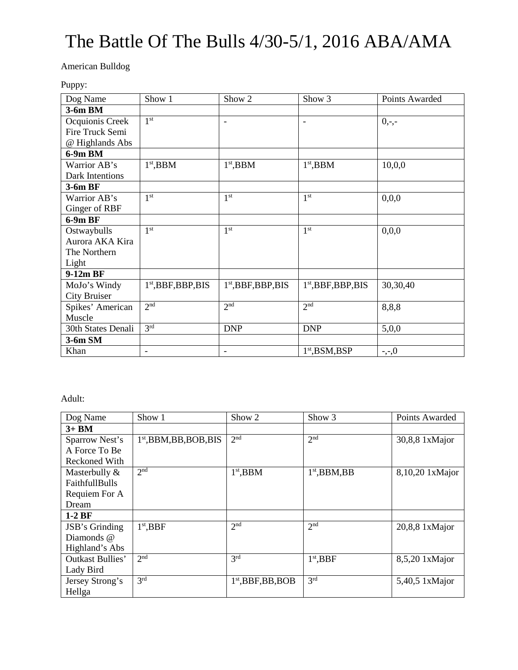# The Battle Of The Bulls 4/30-5/1, 2016 ABA/AMA

American Bulldog

Puppy:

| Dog Name            | Show 1                | Show 2                   | Show 3                   | Points Awarded |
|---------------------|-----------------------|--------------------------|--------------------------|----------------|
| 3-6m BM             |                       |                          |                          |                |
| Ocquionis Creek     | 1 <sup>st</sup>       | $\overline{\phantom{a}}$ | $\overline{\phantom{a}}$ | $0,-,-$        |
| Fire Truck Semi     |                       |                          |                          |                |
| @ Highlands Abs     |                       |                          |                          |                |
| 6-9m BM             |                       |                          |                          |                |
| Warrior AB's        | $1st$ , BBM           | $1st$ , BBM              | $1st$ , BBM              | 10,0,0         |
| Dark Intentions     |                       |                          |                          |                |
| 3-6m BF             |                       |                          |                          |                |
| Warrior AB's        | 1 <sup>st</sup>       | 1 <sup>st</sup>          | 1 <sup>st</sup>          | 0,0,0          |
| Ginger of RBF       |                       |                          |                          |                |
| $6-9mBF$            |                       |                          |                          |                |
| Ostwaybulls         | 1 <sup>st</sup>       | 1 <sup>st</sup>          | 1 <sup>st</sup>          | 0,0,0          |
| Aurora AKA Kira     |                       |                          |                          |                |
| The Northern        |                       |                          |                          |                |
| Light               |                       |                          |                          |                |
| 9-12m BF            |                       |                          |                          |                |
| MoJo's Windy        | $1st$ , BBF, BBP, BIS | $1st$ , BBF, BBP, BIS    | $1st$ , BBF, BBP, BIS    | 30,30,40       |
| <b>City Bruiser</b> |                       |                          |                          |                |
| Spikes' American    | 2 <sup>nd</sup>       | 2 <sup>nd</sup>          | 2 <sup>nd</sup>          | 8,8,8          |
| Muscle              |                       |                          |                          |                |
| 30th States Denali  | 3 <sup>rd</sup>       | <b>DNP</b>               | <b>DNP</b>               | 5,0,0          |
| 3-6m SM             |                       |                          |                          |                |
| Khan                | $\blacksquare$        | $\overline{\phantom{a}}$ | $1st$ , BSM, BSP         | $-,-,0$        |

### Adult:

| Dog Name                | Show 1                    | Show 2               | Show 3          | Points Awarded   |
|-------------------------|---------------------------|----------------------|-----------------|------------------|
| $3+BM$                  |                           |                      |                 |                  |
| Sparrow Nest's          | $1st$ , BBM, BB, BOB, BIS | 2 <sup>nd</sup>      | 2 <sup>nd</sup> | 30,8,8 1xMajor   |
| A Force To Be           |                           |                      |                 |                  |
| <b>Reckoned With</b>    |                           |                      |                 |                  |
| Masterbully &           | 2 <sup>nd</sup>           | $1st$ , BBM          | $1st$ , BBM, BB | 8,10,20 1xMajor  |
| <b>FaithfullBulls</b>   |                           |                      |                 |                  |
| Requiem For A           |                           |                      |                 |                  |
| Dream                   |                           |                      |                 |                  |
| $1-2BF$                 |                           |                      |                 |                  |
| JSB's Grinding          | $1st$ , BBF               | 2 <sup>nd</sup>      | 2 <sup>nd</sup> | $20,8,8$ 1xMajor |
| Diamonds @              |                           |                      |                 |                  |
| Highland's Abs          |                           |                      |                 |                  |
| <b>Outkast Bullies'</b> | 2 <sup>nd</sup>           | 3 <sup>rd</sup>      | $1st$ , BBF     | 8,5,20 1xMajor   |
| Lady Bird               |                           |                      |                 |                  |
| Jersey Strong's         | 3 <sup>rd</sup>           | $1st$ , BBF, BB, BOB | 3 <sup>rd</sup> | 5,40,5 1xMajor   |
| Hellga                  |                           |                      |                 |                  |